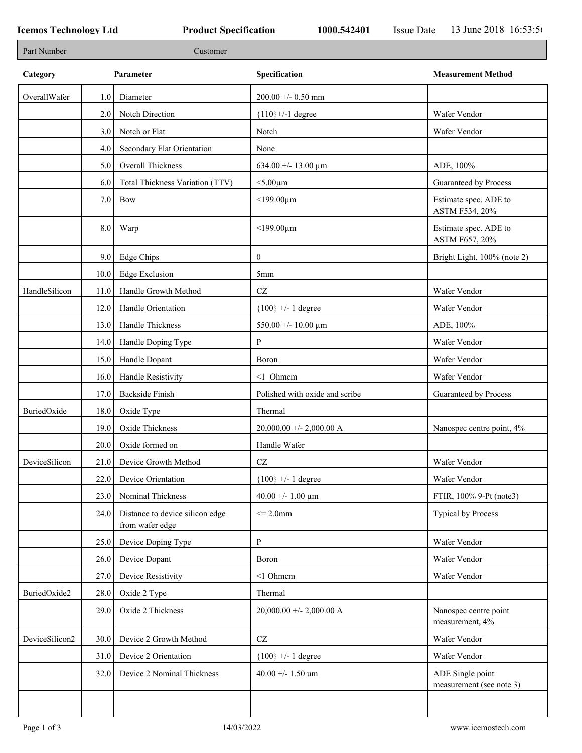| Part Number    |      | Customer                                           |                                |                                              |
|----------------|------|----------------------------------------------------|--------------------------------|----------------------------------------------|
| Category       |      | Parameter                                          | Specification                  | <b>Measurement Method</b>                    |
| OverallWafer   | 1.0  | Diameter                                           | $200.00 + - 0.50$ mm           |                                              |
|                | 2.0  | Notch Direction                                    | ${110}$ +/-1 degree            | Wafer Vendor                                 |
|                | 3.0  | Notch or Flat                                      | Notch                          | Wafer Vendor                                 |
|                | 4.0  | Secondary Flat Orientation                         | None                           |                                              |
|                | 5.0  | Overall Thickness                                  | 634.00 +/- 13.00 $\mu$ m       | ADE, 100%                                    |
|                | 6.0  | Total Thickness Variation (TTV)                    | $<$ 5.00 $\mu$ m               | Guaranteed by Process                        |
|                | 7.0  | Bow                                                | $<$ 199.00 $\mu$ m             | Estimate spec. ADE to<br>ASTM F534, 20%      |
|                | 8.0  | Warp                                               | $<$ 199.00 $\mu$ m             | Estimate spec. ADE to<br>ASTM F657, 20%      |
|                | 9.0  | Edge Chips                                         | $\mathbf{0}$                   | Bright Light, 100% (note 2)                  |
|                | 10.0 | <b>Edge Exclusion</b>                              | 5mm                            |                                              |
| HandleSilicon  | 11.0 | Handle Growth Method                               | $\operatorname{CZ}$            | Wafer Vendor                                 |
|                | 12.0 | Handle Orientation                                 | ${100}$ +/- 1 degree           | Wafer Vendor                                 |
|                | 13.0 | Handle Thickness                                   | 550.00 +/- 10.00 $\mu$ m       | ADE, 100%                                    |
|                | 14.0 | Handle Doping Type                                 | P                              | Wafer Vendor                                 |
|                | 15.0 | Handle Dopant                                      | Boron                          | Wafer Vendor                                 |
|                | 16.0 | Handle Resistivity                                 | <1 Ohmem                       | Wafer Vendor                                 |
|                | 17.0 | <b>Backside Finish</b>                             | Polished with oxide and scribe | Guaranteed by Process                        |
| BuriedOxide    | 18.0 | Oxide Type                                         | Thermal                        |                                              |
|                | 19.0 | Oxide Thickness                                    | $20,000.00 +/- 2,000.00 A$     | Nanospec centre point, 4%                    |
|                | 20.0 | Oxide formed on                                    | Handle Wafer                   |                                              |
| DeviceSilicon  |      | 21.0 Device Growth Method                          | CZ                             | Wafer Vendor                                 |
|                | 22.0 | Device Orientation                                 | ${100}$ +/- 1 degree           | Wafer Vendor                                 |
|                | 23.0 | Nominal Thickness                                  | 40.00 +/- 1.00 $\mu$ m         | FTIR, 100% 9-Pt (note3)                      |
|                | 24.0 | Distance to device silicon edge<br>from wafer edge | $\leq$ 2.0mm                   | <b>Typical by Process</b>                    |
|                | 25.0 | Device Doping Type                                 | P                              | Wafer Vendor                                 |
|                | 26.0 | Device Dopant                                      | Boron                          | Wafer Vendor                                 |
|                | 27.0 | Device Resistivity                                 | <1 Ohmem                       | Wafer Vendor                                 |
| BuriedOxide2   | 28.0 | Oxide 2 Type                                       | Thermal                        |                                              |
|                | 29.0 | Oxide 2 Thickness                                  | $20,000.00 +/- 2,000.00 A$     | Nanospec centre point<br>measurement, 4%     |
| DeviceSilicon2 | 30.0 | Device 2 Growth Method                             | $\operatorname{CZ}$            | Wafer Vendor                                 |
|                | 31.0 | Device 2 Orientation                               | ${100}$ +/- 1 degree           | Wafer Vendor                                 |
|                | 32.0 | Device 2 Nominal Thickness                         | 40.00 +/- 1.50 um              | ADE Single point<br>measurement (see note 3) |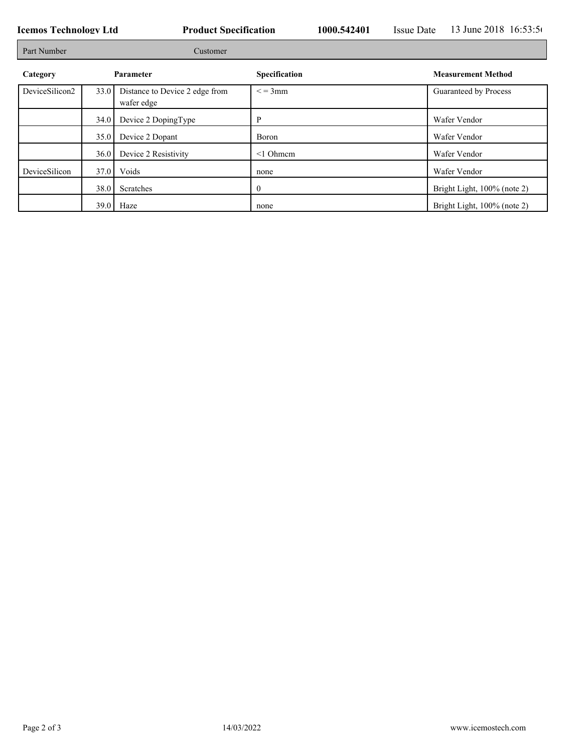┓

| Part Number    | Customer  |                                              |                      |                             |  |
|----------------|-----------|----------------------------------------------|----------------------|-----------------------------|--|
| Category       | Parameter |                                              | <b>Specification</b> | <b>Measurement Method</b>   |  |
| DeviceSilicon2 | 33.0      | Distance to Device 2 edge from<br>wafer edge | $\leq$ = 3mm         | Guaranteed by Process       |  |
|                | 34.0      | Device 2 DopingType                          | D                    | Wafer Vendor                |  |
|                | 35.0      | Device 2 Dopant                              | Boron                | Wafer Vendor                |  |
|                | 36.0      | Device 2 Resistivity                         | $\leq 1$ Ohmem       | Wafer Vendor                |  |
| DeviceSilicon  | 37.0      | Voids                                        | none                 | Wafer Vendor                |  |
|                | 38.0      | Scratches                                    | $\mathbf{0}$         | Bright Light, 100% (note 2) |  |
|                |           | $39.0$ Haze                                  | none                 | Bright Light, 100% (note 2) |  |